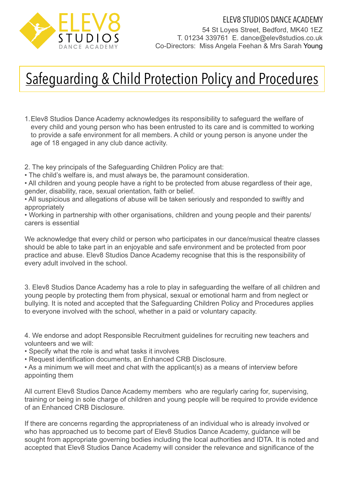

## Safeguarding & Child Protection Policy and Procedures

- 1.Elev8 Studios Dance Academy acknowledges its responsibility to safeguard the welfare of every child and young person who has been entrusted to its care and is committed to working to provide a safe environment for all members. A child or young person is anyone under the age of 18 engaged in any club dance activity.
- 2. The key principals of the Safeguarding Children Policy are that:
- The child's welfare is, and must always be, the paramount consideration.
- All children and young people have a right to be protected from abuse regardless of their age, gender, disability, race, sexual orientation, faith or belief.
- All suspicious and allegations of abuse will be taken seriously and responded to swiftly and appropriately
- Working in partnership with other organisations, children and young people and their parents/ carers is essential
- We acknowledge that every child or person who participates in our dance/musical theatre classes should be able to take part in an enjoyable and safe environment and be protected from poor practice and abuse. Elev8 Studios Dance Academy recognise that this is the responsibility of every adult involved in the school.
- 3. Elev8 Studios Dance Academy has a role to play in safeguarding the welfare of all children and young people by protecting them from physical, sexual or emotional harm and from neglect or bullying. It is noted and accepted that the Safeguarding Children Policy and Procedures applies to everyone involved with the school, whether in a paid or voluntary capacity.
- 4. We endorse and adopt Responsible Recruitment guidelines for recruiting new teachers and volunteers and we will:
- Specify what the role is and what tasks it involves
- Request identification documents, an Enhanced CRB Disclosure.
- As a minimum we will meet and chat with the applicant(s) as a means of interview before appointing them
- All current Elev8 Studios Dance Academy members who are regularly caring for, supervising, training or being in sole charge of children and young people will be required to provide evidence of an Enhanced CRB Disclosure.
- If there are concerns regarding the appropriateness of an individual who is already involved or who has approached us to become part of Elev8 Studios Dance Academy, guidance will be sought from appropriate governing bodies including the local authorities and IDTA. It is noted and accepted that Elev8 Studios Dance Academy will consider the relevance and significance of the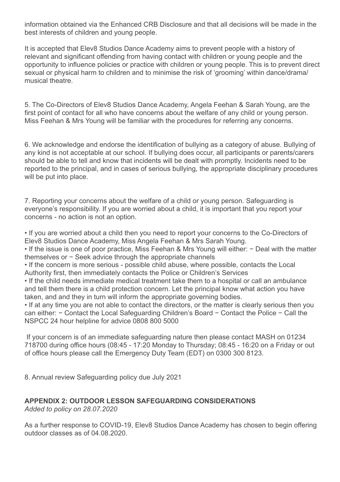information obtained via the Enhanced CRB Disclosure and that all decisions will be made in the best interests of children and young people.

It is accepted that Elev8 Studios Dance Academy aims to prevent people with a history of relevant and significant offending from having contact with children or young people and the opportunity to influence policies or practice with children or young people. This is to prevent direct sexual or physical harm to children and to minimise the risk of 'grooming' within dance/drama/ musical theatre.

5. The Co-Directors of Elev8 Studios Dance Academy, Angela Feehan & Sarah Young, are the first point of contact for all who have concerns about the welfare of any child or young person. Miss Feehan & Mrs Young will be familiar with the procedures for referring any concerns.

6. We acknowledge and endorse the identification of bullying as a category of abuse. Bullying of any kind is not acceptable at our school. If bullying does occur, all participants or parents/carers should be able to tell and know that incidents will be dealt with promptly. Incidents need to be reported to the principal, and in cases of serious bullying, the appropriate disciplinary procedures will be put into place.

7. Reporting your concerns about the welfare of a child or young person. Safeguarding is everyone's responsibility. If you are worried about a child, it is important that you report your concerns - no action is not an option.

• If you are worried about a child then you need to report your concerns to the Co-Directors of Elev8 Studios Dance Academy, Miss Angela Feehan & Mrs Sarah Young.

• If the issue is one of poor practice, Miss Feehan & Mrs Young will either: − Deal with the matter themselves or − Seek advice through the appropriate channels

• If the concern is more serious - possible child abuse, where possible, contacts the Local Authority first, then immediately contacts the Police or Children's Services

• If the child needs immediate medical treatment take them to a hospital or call an ambulance and tell them there is a child protection concern. Let the principal know what action you have taken, and and they in turn will inform the appropriate governing bodies.

• If at any time you are not able to contact the directors, or the matter is clearly serious then you can either: − Contact the Local Safeguarding Children's Board − Contact the Police − Call the NSPCC 24 hour helpline for advice 0808 800 5000

 If your concern is of an immediate safeguarding nature then please contact MASH on 01234 718700 during office hours (08:45 - 17:20 Monday to Thursday; 08:45 - 16:20 on a Friday or out of office hours please call the Emergency Duty Team (EDT) on 0300 300 8123.

8. Annual review Safeguarding policy due July 2021

## **APPENDIX 2: OUTDOOR LESSON SAFEGUARDING CONSIDERATIONS**  *Added to policy on 28.07.2020*

As a further response to COVID-19, Elev8 Studios Dance Academy has chosen to begin offering outdoor classes as of 04.08.2020.